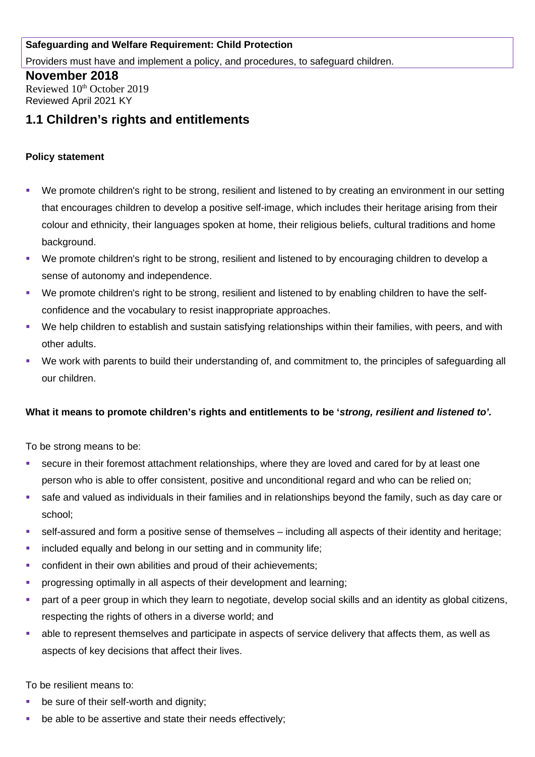### **Safeguarding and Welfare Requirement: Child Protection**

Providers must have and implement a policy, and procedures, to safeguard children.

## **November 2018**

Reviewed 10<sup>th</sup> October 2019 Reviewed April 2021 KY

# **1.1 Children's rights and entitlements**

#### **Policy statement**

- We promote children's right to be strong, resilient and listened to by creating an environment in our setting that encourages children to develop a positive self-image, which includes their heritage arising from their colour and ethnicity, their languages spoken at home, their religious beliefs, cultural traditions and home background.
- We promote children's right to be strong, resilient and listened to by encouraging children to develop a sense of autonomy and independence.
- We promote children's right to be strong, resilient and listened to by enabling children to have the selfconfidence and the vocabulary to resist inappropriate approaches.
- We help children to establish and sustain satisfying relationships within their families, with peers, and with other adults.
- We work with parents to build their understanding of, and commitment to, the principles of safeguarding all our children.

### **What it means to promote children's rights and entitlements to be '***strong, resilient and listened to'.*

To be strong means to be:

- secure in their foremost attachment relationships, where they are loved and cared for by at least one person who is able to offer consistent, positive and unconditional regard and who can be relied on;
- safe and valued as individuals in their families and in relationships beyond the family, such as day care or school;
- self-assured and form a positive sense of themselves including all aspects of their identity and heritage;
- **EXEDENT** included equally and belong in our setting and in community life;
- confident in their own abilities and proud of their achievements;
- progressing optimally in all aspects of their development and learning;
- part of a peer group in which they learn to negotiate, develop social skills and an identity as global citizens, respecting the rights of others in a diverse world; and
- able to represent themselves and participate in aspects of service delivery that affects them, as well as aspects of key decisions that affect their lives.

To be resilient means to:

- be sure of their self-worth and dignity;
- be able to be assertive and state their needs effectively;